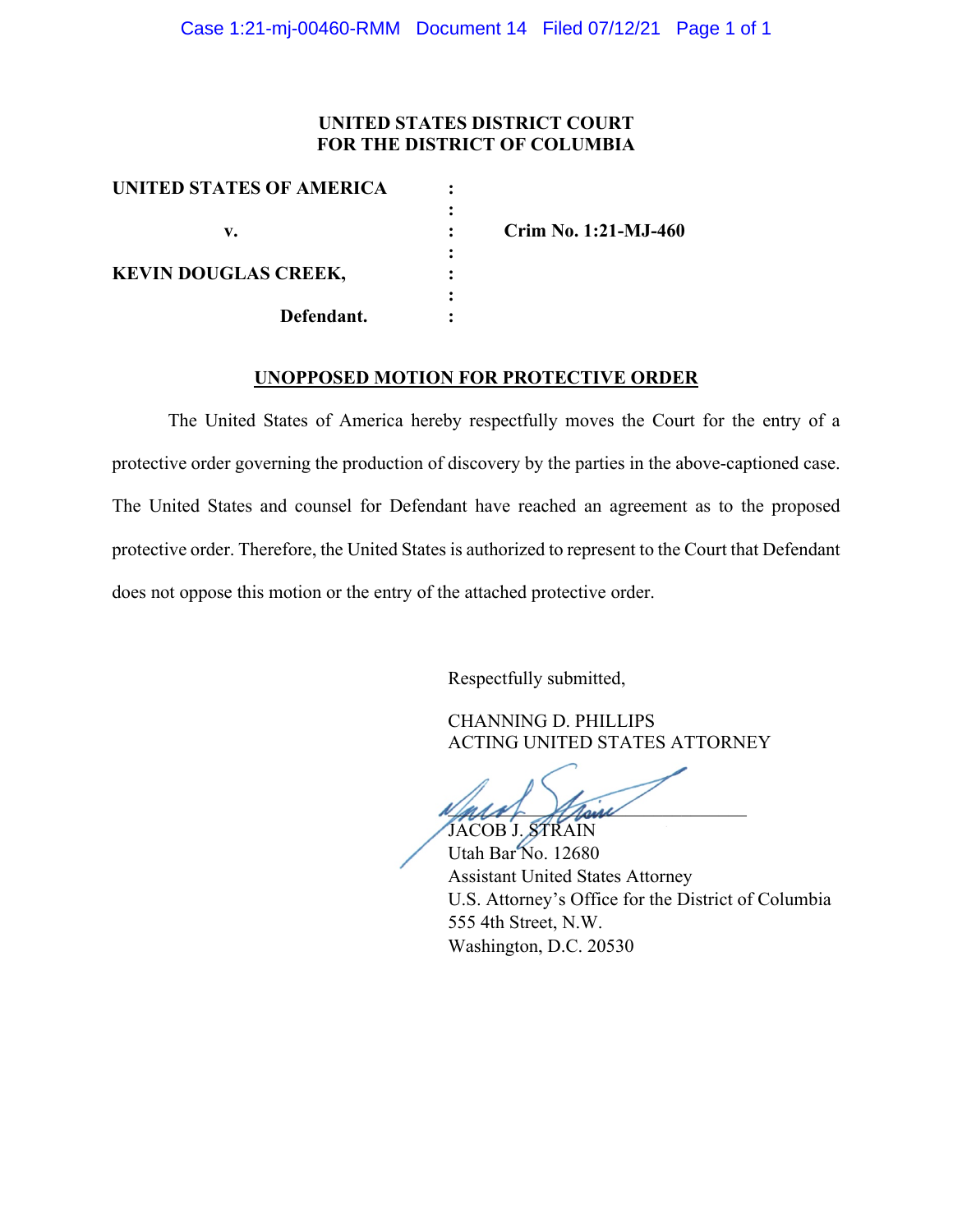#### **UNITED STATES DISTRICT COURT FOR THE DISTRICT OF COLUMBIA**

| Crim No. 1:21-MJ-460 |
|----------------------|
|                      |
|                      |
|                      |
|                      |
|                      |

#### **UNOPPOSED MOTION FOR PROTECTIVE ORDER**

The United States of America hereby respectfully moves the Court for the entry of a protective order governing the production of discovery by the parties in the above-captioned case. The United States and counsel for Defendant have reached an agreement as to the proposed protective order. Therefore, the United States is authorized to represent to the Court that Defendant does not oppose this motion or the entry of the attached protective order.

Respectfully submitted,

CHANNING D. PHILLIPS ACTING UNITED STATES ATTORNEY

and their JACOB J. STRAIN

Utah Bar No. 12680 Assistant United States Attorney U.S. Attorney's Office for the District of Columbia 555 4th Street, N.W. Washington, D.C. 20530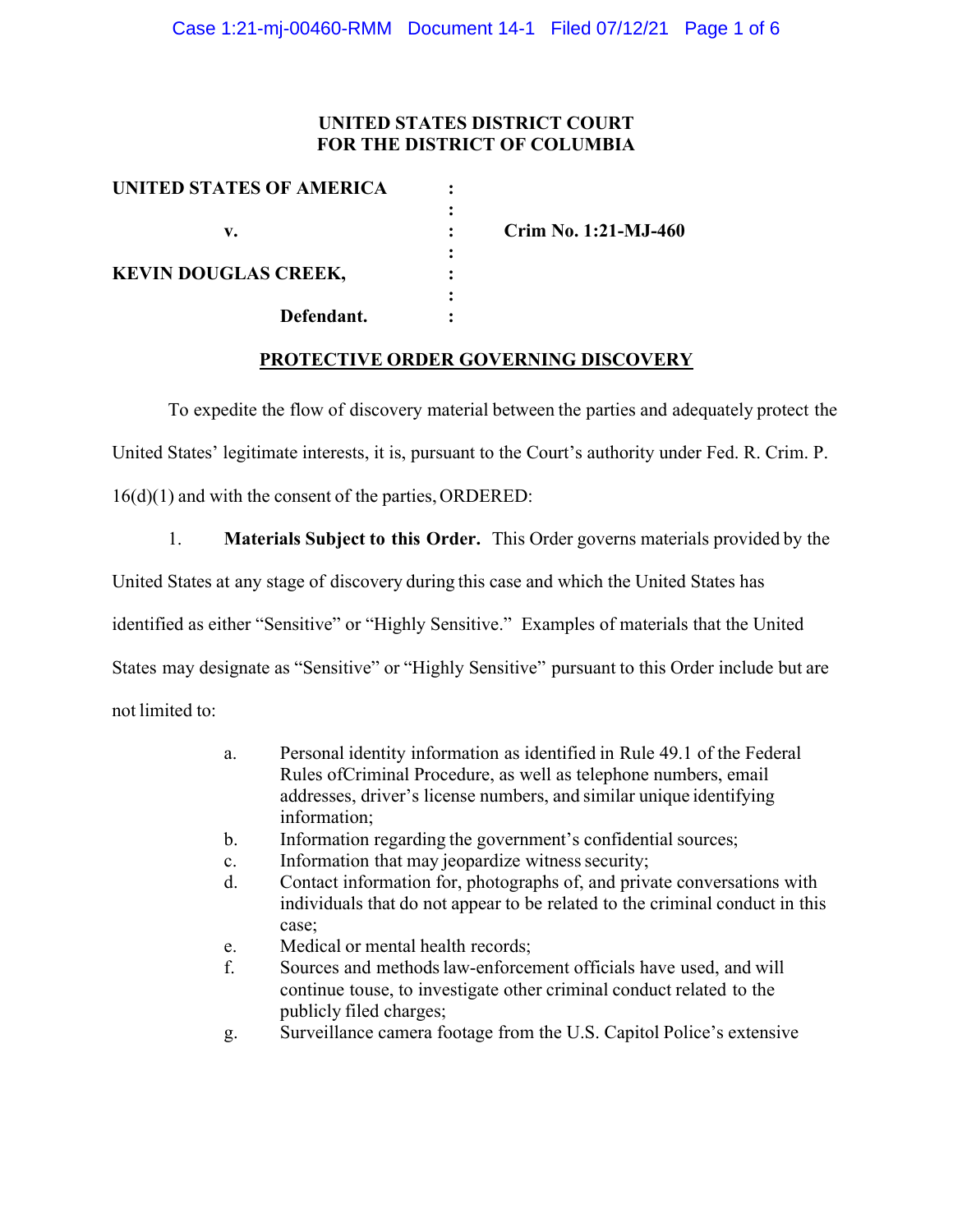### **UNITED STATES DISTRICT COURT FOR THE DISTRICT OF COLUMBIA**

| UNITED STATES OF AMERICA    |   |                      |
|-----------------------------|---|----------------------|
|                             |   |                      |
| v.                          |   | Crim No. 1:21-MJ-460 |
|                             | ٠ |                      |
| <b>KEVIN DOUGLAS CREEK,</b> |   |                      |
|                             |   |                      |
| Defendant.                  |   |                      |
|                             |   |                      |

### **PROTECTIVE ORDER GOVERNING DISCOVERY**

To expedite the flow of discovery material between the parties and adequately protect the

United States' legitimate interests, it is, pursuant to the Court's authority under Fed. R. Crim. P.

16(d)(1) and with the consent of the parties, ORDERED:

1. **Materials Subject to this Order.** This Order governs materials provided by the

United States at any stage of discovery during this case and which the United States has

identified as either "Sensitive" or "Highly Sensitive." Examples of materials that the United

States may designate as "Sensitive" or "Highly Sensitive" pursuant to this Order include but are

not limited to:

- a. Personal identity information as identified in Rule 49.1 of the Federal Rules ofCriminal Procedure, as well as telephone numbers, email addresses, driver's license numbers, and similar unique identifying information;
- b. Information regarding the government's confidential sources;
- c. Information that may jeopardize witness security;
- d. Contact information for, photographs of, and private conversations with individuals that do not appear to be related to the criminal conduct in this case;
- e. Medical or mental health records;
- f. Sources and methodslaw-enforcement officials have used, and will continue touse, to investigate other criminal conduct related to the publicly filed charges;
- g. Surveillance camera footage from the U.S. Capitol Police's extensive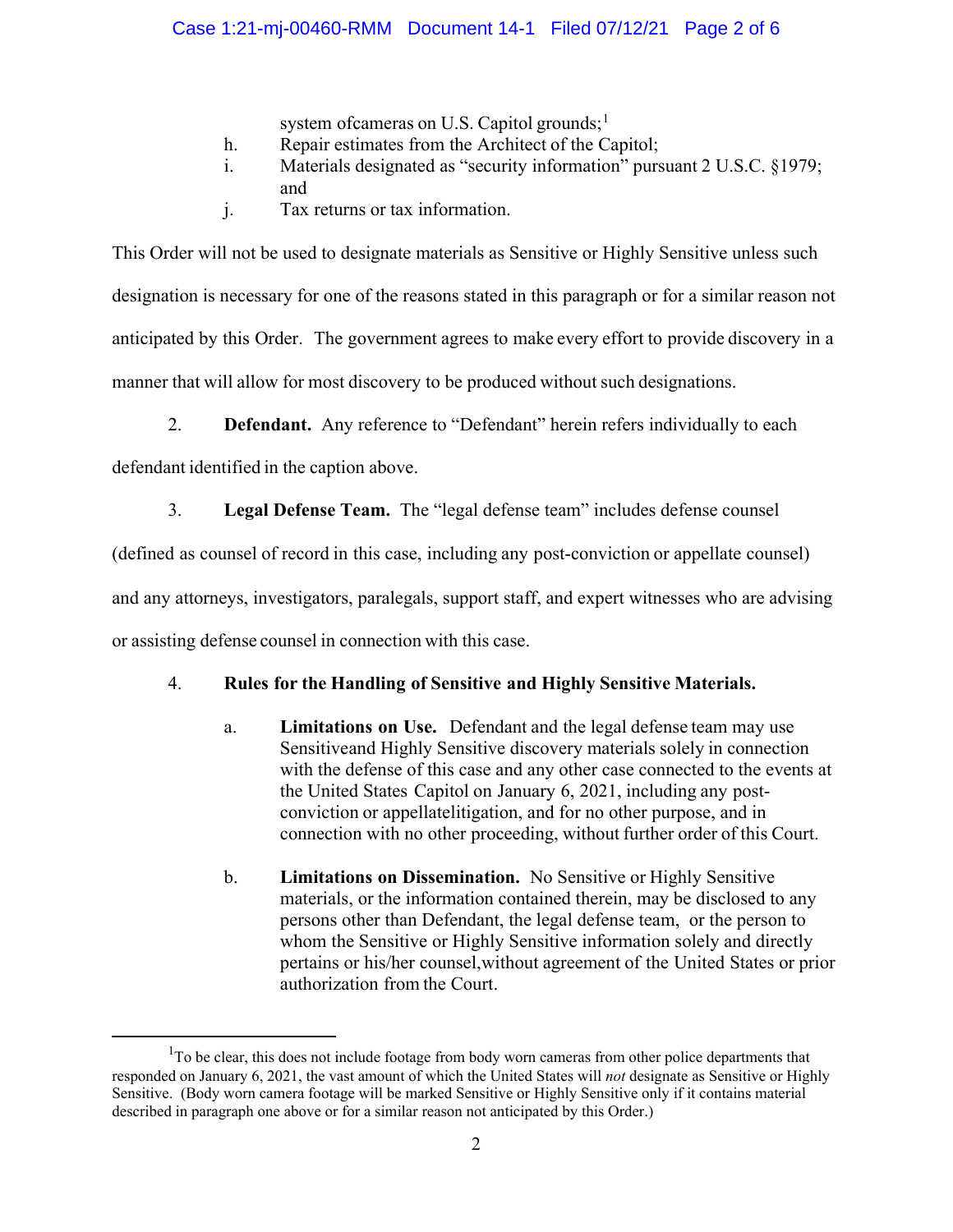# Case 1:21-mj-00460-RMM Document 14-1 Filed 07/12/21 Page 2 of 6

system ofcameras on U.S. Capitol grounds:<sup>1</sup>

- h. Repair estimates from the Architect of the Capitol;
- i. Materials designated as "security information" pursuant 2 U.S.C. §1979; and
- j. Tax returns or tax information.

This Order will not be used to designate materials as Sensitive or Highly Sensitive unless such designation is necessary for one of the reasons stated in this paragraph or for a similar reason not anticipated by this Order. The government agrees to make every effort to provide discovery in a manner that will allow for most discovery to be produced without such designations.

2. **Defendant.** Any reference to "Defendant" herein refers individually to each

defendant identified in the caption above.

3. **Legal Defense Team.** The "legal defense team" includes defense counsel

(defined as counsel of record in this case, including any post-conviction or appellate counsel)

and any attorneys, investigators, paralegals, support staff, and expert witnesses who are advising

or assisting defense counsel in connection with this case.

# 4. **Rules for the Handling of Sensitive and Highly Sensitive Materials.**

- a. **Limitations on Use.** Defendant and the legal defense team may use Sensitiveand Highly Sensitive discovery materials solely in connection with the defense of this case and any other case connected to the events at the United States Capitol on January 6, 2021, including any postconviction or appellatelitigation, and for no other purpose, and in connection with no other proceeding, without further order of this Court.
- b. **Limitations on Dissemination.** No Sensitive or Highly Sensitive materials, or the information contained therein, may be disclosed to any persons other than Defendant, the legal defense team, or the person to whom the Sensitive or Highly Sensitive information solely and directly pertains or his/her counsel,without agreement of the United States or prior authorization from the Court.

 $1$ To be clear, this does not include footage from body worn cameras from other police departments that responded on January 6, 2021, the vast amount of which the United States will *not* designate as Sensitive or Highly Sensitive. (Body worn camera footage will be marked Sensitive or Highly Sensitive only if it contains material described in paragraph one above or for a similar reason not anticipated by this Order.)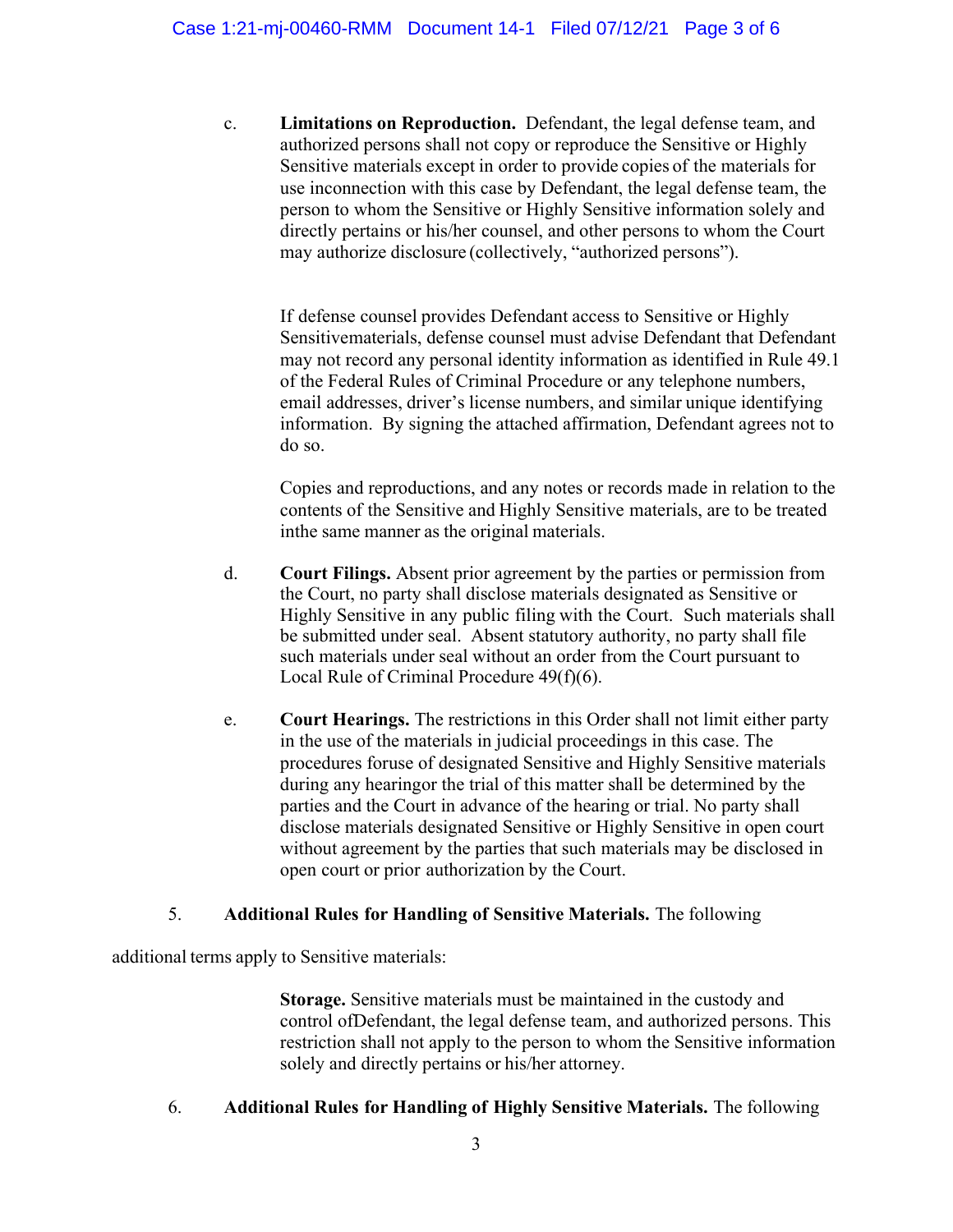c. **Limitations on Reproduction.** Defendant, the legal defense team, and authorized persons shall not copy or reproduce the Sensitive or Highly Sensitive materials except in order to provide copies of the materials for use inconnection with this case by Defendant, the legal defense team, the person to whom the Sensitive or Highly Sensitive information solely and directly pertains or his/her counsel, and other persons to whom the Court may authorize disclosure (collectively, "authorized persons").

If defense counsel provides Defendant access to Sensitive or Highly Sensitivematerials, defense counsel must advise Defendant that Defendant may not record any personal identity information as identified in Rule 49.1 of the Federal Rules of Criminal Procedure or any telephone numbers, email addresses, driver's license numbers, and similar unique identifying information. By signing the attached affirmation, Defendant agrees not to do so.

Copies and reproductions, and any notes or records made in relation to the contents of the Sensitive and Highly Sensitive materials, are to be treated inthe same manner as the original materials.

- d. **Court Filings.** Absent prior agreement by the parties or permission from the Court, no party shall disclose materials designated as Sensitive or Highly Sensitive in any public filing with the Court. Such materials shall be submitted under seal. Absent statutory authority, no party shall file such materials under seal without an order from the Court pursuant to Local Rule of Criminal Procedure 49(f)(6).
- e. **Court Hearings.** The restrictions in this Order shall not limit either party in the use of the materials in judicial proceedings in this case. The procedures foruse of designated Sensitive and Highly Sensitive materials during any hearingor the trial of this matter shall be determined by the parties and the Court in advance of the hearing or trial. No party shall disclose materials designated Sensitive or Highly Sensitive in open court without agreement by the parties that such materials may be disclosed in open court or prior authorization by the Court.

# 5. **Additional Rules for Handling of Sensitive Materials.** The following

additional terms apply to Sensitive materials:

**Storage.** Sensitive materials must be maintained in the custody and control ofDefendant, the legal defense team, and authorized persons. This restriction shall not apply to the person to whom the Sensitive information solely and directly pertains or his/her attorney.

# 6. **Additional Rules for Handling of Highly Sensitive Materials.** The following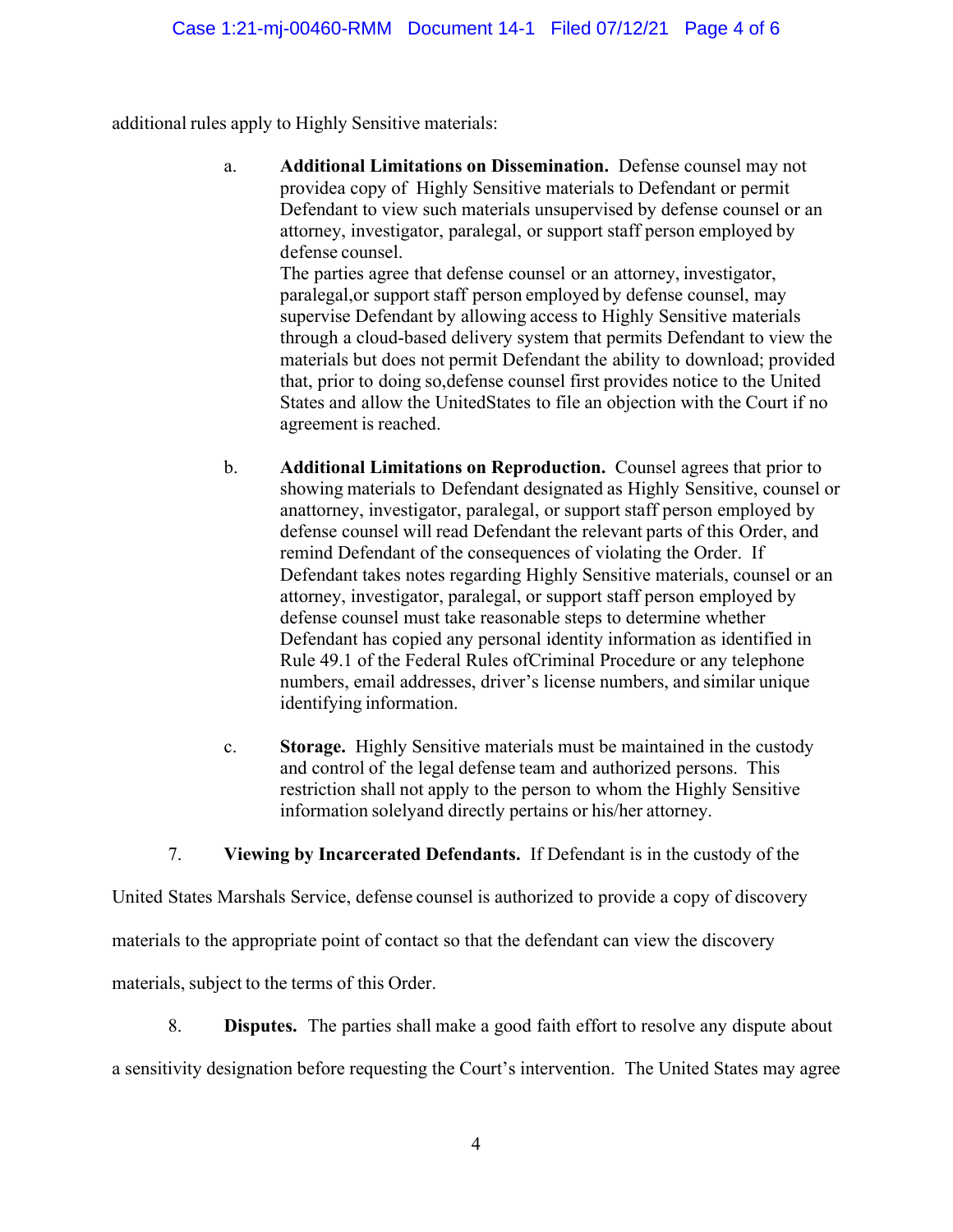additional rules apply to Highly Sensitive materials:

a. **Additional Limitations on Dissemination.** Defense counsel may not providea copy of Highly Sensitive materials to Defendant or permit Defendant to view such materials unsupervised by defense counsel or an attorney, investigator, paralegal, or support staff person employed by defense counsel.

The parties agree that defense counsel or an attorney, investigator, paralegal,or support staff person employed by defense counsel, may supervise Defendant by allowing access to Highly Sensitive materials through a cloud-based delivery system that permits Defendant to view the materials but does not permit Defendant the ability to download; provided that, prior to doing so,defense counsel first provides notice to the United States and allow the UnitedStates to file an objection with the Court if no agreement is reached.

- b. **Additional Limitations on Reproduction.** Counsel agrees that prior to showing materials to Defendant designated as Highly Sensitive, counsel or anattorney, investigator, paralegal, or support staff person employed by defense counsel will read Defendant the relevant parts of this Order, and remind Defendant of the consequences of violating the Order. If Defendant takes notes regarding Highly Sensitive materials, counsel or an attorney, investigator, paralegal, or support staff person employed by defense counsel must take reasonable steps to determine whether Defendant has copied any personal identity information as identified in Rule 49.1 of the Federal Rules ofCriminal Procedure or any telephone numbers, email addresses, driver's license numbers, and similar unique identifying information.
- c. **Storage.** Highly Sensitive materials must be maintained in the custody and control of the legal defense team and authorized persons. This restriction shall not apply to the person to whom the Highly Sensitive information solelyand directly pertains or his/her attorney.

7. **Viewing by Incarcerated Defendants.** If Defendant is in the custody of the

United States Marshals Service, defense counsel is authorized to provide a copy of discovery

materials to the appropriate point of contact so that the defendant can view the discovery

materials, subject to the terms of this Order.

8. **Disputes.** The parties shall make a good faith effort to resolve any dispute about a sensitivity designation before requesting the Court's intervention. The United States may agree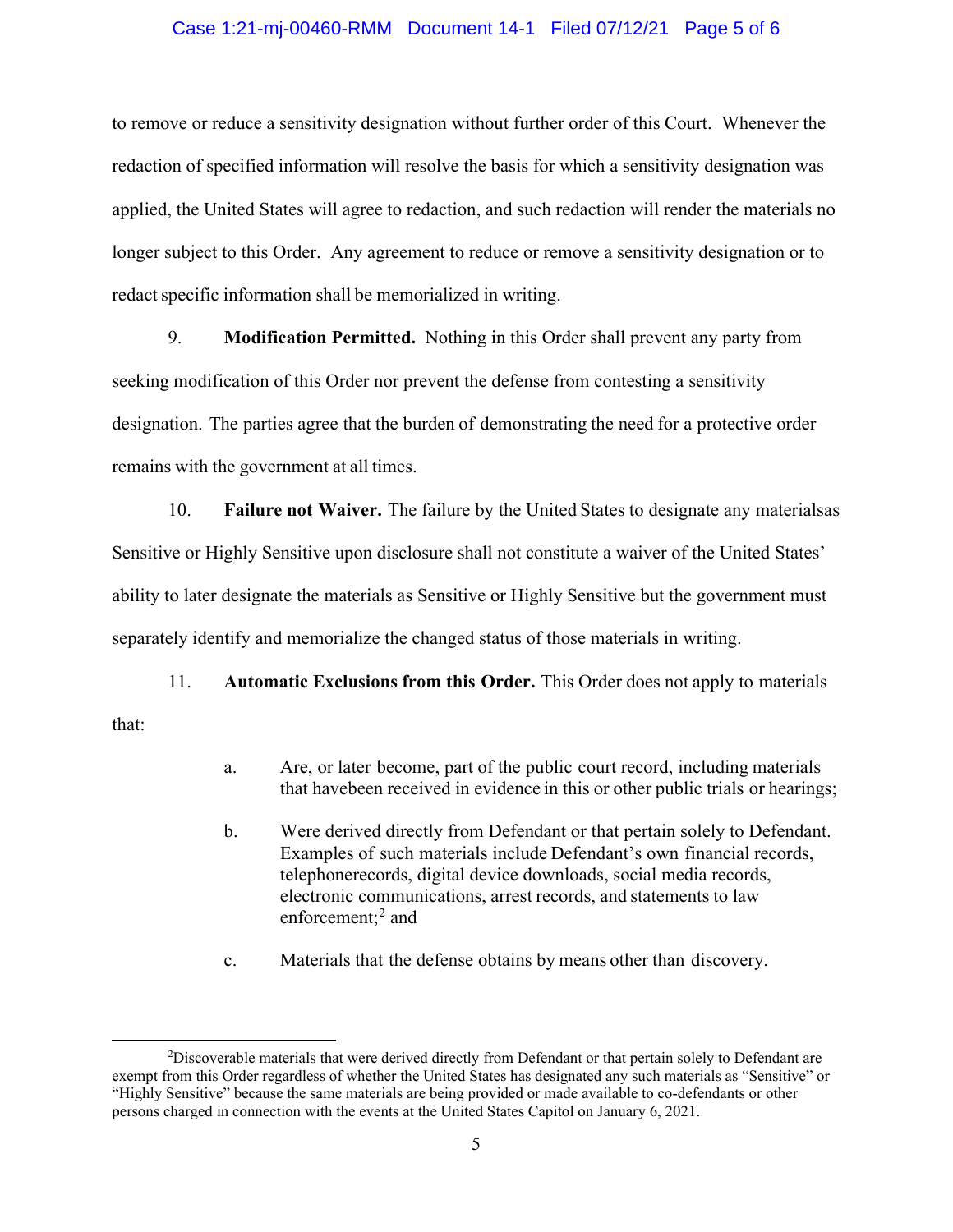#### Case 1:21-mj-00460-RMM Document 14-1 Filed 07/12/21 Page 5 of 6

to remove or reduce a sensitivity designation without further order of this Court. Whenever the redaction of specified information will resolve the basis for which a sensitivity designation was applied, the United States will agree to redaction, and such redaction will render the materials no longer subject to this Order. Any agreement to reduce or remove a sensitivity designation or to redact specific information shall be memorialized in writing.

9. **Modification Permitted.** Nothing in this Order shall prevent any party from seeking modification of this Order nor prevent the defense from contesting a sensitivity designation. The parties agree that the burden of demonstrating the need for a protective order remains with the government at all times.

10. **Failure not Waiver.** The failure by the United States to designate any materialsas Sensitive or Highly Sensitive upon disclosure shall not constitute a waiver of the United States' ability to later designate the materials as Sensitive or Highly Sensitive but the government must separately identify and memorialize the changed status of those materials in writing.

11. **Automatic Exclusions from this Order.** This Order does not apply to materials that:

- a. Are, or later become, part of the public court record, including materials that havebeen received in evidence in this or other public trials or hearings;
- b. Were derived directly from Defendant or that pertain solely to Defendant. Examples of such materials include Defendant's own financial records, telephonerecords, digital device downloads, social media records, electronic communications, arrest records, and statements to law enforcement; $<sup>2</sup>$  and</sup>
- c. Materials that the defense obtains by means other than discovery.

<sup>&</sup>lt;sup>2</sup>Discoverable materials that were derived directly from Defendant or that pertain solely to Defendant are exempt from this Order regardless of whether the United States has designated any such materials as "Sensitive" or "Highly Sensitive" because the same materials are being provided or made available to co-defendants or other persons charged in connection with the events at the United States Capitol on January 6, 2021.